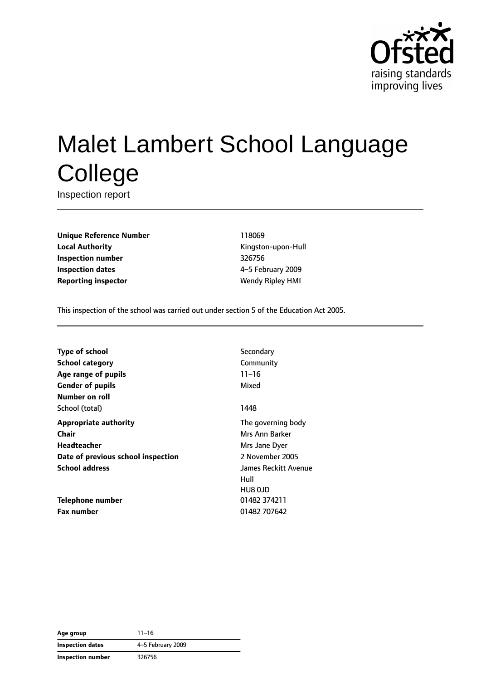

# Malet Lambert School Language **College**

Inspection report

**Unique Reference Number** 118069 **Local Authority Contract Contract Contract Contract Contract Contract Contract Contract Contract Contract Contract Contract Contract Contract Contract Contract Contract Contract Contract Contract Contract Contract Contr Inspection number** 326756 **Inspection dates** 4–5 February 2009 **Reporting inspector** Wendy Ripley HMI

This inspection of the school was carried out under section 5 of the Education Act 2005.

| <b>Type of school</b>              | Secondary            |
|------------------------------------|----------------------|
| <b>School category</b>             | Community            |
| Age range of pupils                | $11 - 16$            |
| <b>Gender of pupils</b>            | Mixed                |
| Number on roll                     |                      |
| School (total)                     | 1448                 |
| <b>Appropriate authority</b>       | The governing body   |
| Chair                              | Mrs Ann Barker       |
| Headteacher                        | Mrs Jane Dyer        |
| Date of previous school inspection | 2 November 2005      |
| <b>School address</b>              | James Reckitt Avenue |
|                                    | Hull                 |
|                                    | HU8 OJD              |
| Telephone number                   | 01482 374211         |
| Fax number                         | 01482 707642         |

**Age group** 11–16 **Inspection dates** 4–5 February 2009 **Inspection number** 326756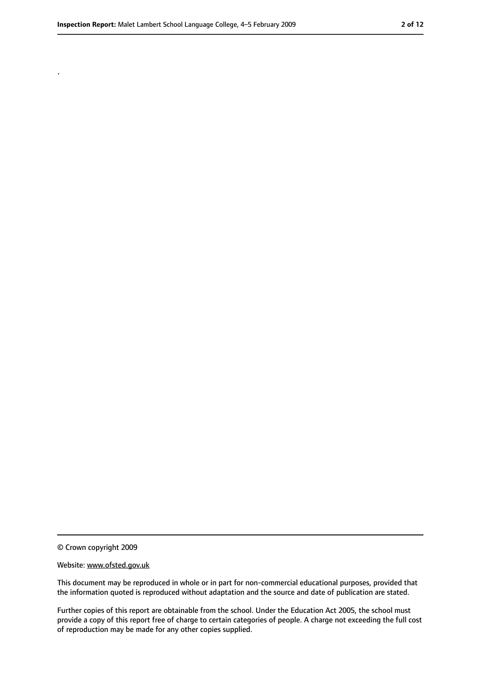.

<sup>©</sup> Crown copyright 2009

Website: www.ofsted.gov.uk

This document may be reproduced in whole or in part for non-commercial educational purposes, provided that the information quoted is reproduced without adaptation and the source and date of publication are stated.

Further copies of this report are obtainable from the school. Under the Education Act 2005, the school must provide a copy of this report free of charge to certain categories of people. A charge not exceeding the full cost of reproduction may be made for any other copies supplied.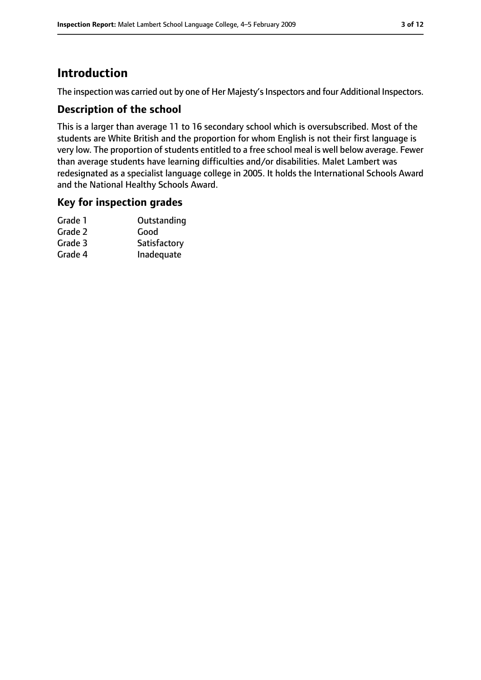# **Introduction**

The inspection was carried out by one of Her Majesty's Inspectors and four Additional Inspectors.

## **Description of the school**

This is a larger than average 11 to 16 secondary school which is oversubscribed. Most of the students are White British and the proportion for whom English is not their first language is very low. The proportion of students entitled to a free school meal is well below average. Fewer than average students have learning difficulties and/or disabilities. Malet Lambert was redesignated as a specialist language college in 2005. It holds the International Schools Award and the National Healthy Schools Award.

## **Key for inspection grades**

| Grade 1 | Outstanding  |
|---------|--------------|
| Grade 2 | Good         |
| Grade 3 | Satisfactory |
| Grade 4 | Inadequate   |
|         |              |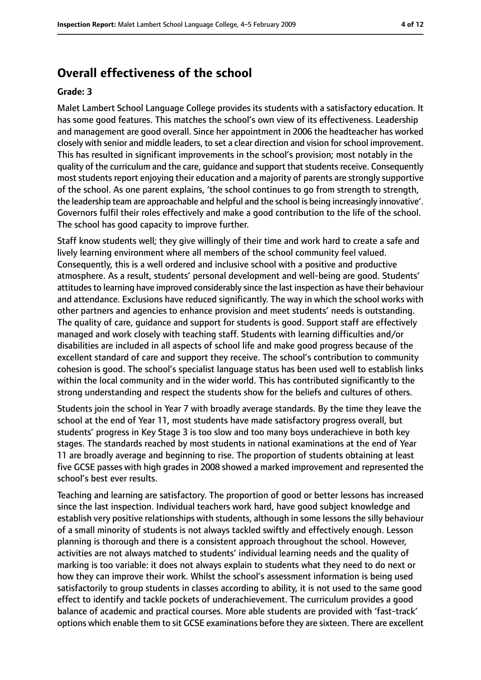# **Overall effectiveness of the school**

#### **Grade: 3**

Malet Lambert School Language College provides its students with a satisfactory education. It has some good features. This matches the school's own view of its effectiveness. Leadership and management are good overall. Since her appointment in 2006 the headteacher has worked closely with senior and middle leaders, to set a clear direction and vision forschool improvement. This has resulted in significant improvements in the school's provision; most notably in the quality of the curriculum and the care, quidance and support that students receive. Consequently most students report enjoying their education and a majority of parents are strongly supportive of the school. As one parent explains, 'the school continues to go from strength to strength, the leadership team are approachable and helpful and the school is being increasingly innovative'. Governors fulfil their roles effectively and make a good contribution to the life of the school. The school has good capacity to improve further.

Staff know students well; they give willingly of their time and work hard to create a safe and lively learning environment where all members of the school community feel valued. Consequently, this is a well ordered and inclusive school with a positive and productive atmosphere. As a result, students' personal development and well-being are good. Students' attitudes to learning have improved considerably since the last inspection as have their behaviour and attendance. Exclusions have reduced significantly. The way in which the school works with other partners and agencies to enhance provision and meet students' needs is outstanding. The quality of care, guidance and support for students is good. Support staff are effectively managed and work closely with teaching staff. Students with learning difficulties and/or disabilities are included in all aspects of school life and make good progress because of the excellent standard of care and support they receive. The school's contribution to community cohesion is good. The school's specialist language status has been used well to establish links within the local community and in the wider world. This has contributed significantly to the strong understanding and respect the students show for the beliefs and cultures of others.

Students join the school in Year 7 with broadly average standards. By the time they leave the school at the end of Year 11, most students have made satisfactory progress overall, but students' progress in Key Stage 3 is too slow and too many boys underachieve in both key stages. The standards reached by most students in national examinations at the end of Year 11 are broadly average and beginning to rise. The proportion of students obtaining at least five GCSE passes with high grades in 2008 showed a marked improvement and represented the school's best ever results.

Teaching and learning are satisfactory. The proportion of good or better lessons has increased since the last inspection. Individual teachers work hard, have good subject knowledge and establish very positive relationships with students, although in some lessons the silly behaviour of a small minority of students is not always tackled swiftly and effectively enough. Lesson planning is thorough and there is a consistent approach throughout the school. However, activities are not always matched to students' individual learning needs and the quality of marking is too variable: it does not always explain to students what they need to do next or how they can improve their work. Whilst the school's assessment information is being used satisfactorily to group students in classes according to ability, it is not used to the same good effect to identify and tackle pockets of underachievement. The curriculum provides a good balance of academic and practical courses. More able students are provided with 'fast-track' options which enable them to sit GCSE examinations before they are sixteen. There are excellent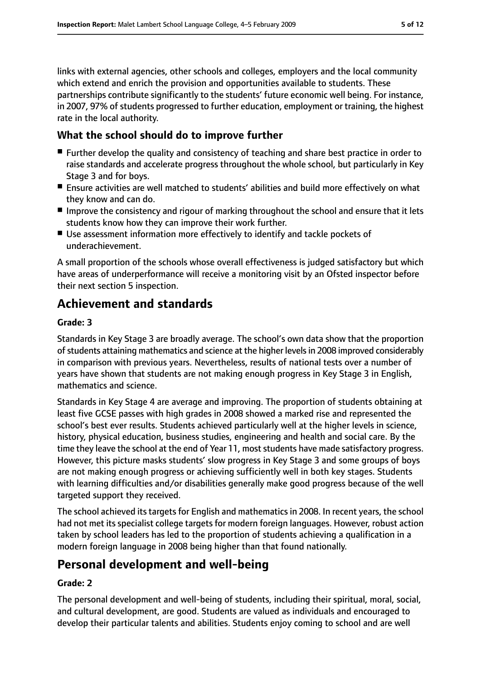links with external agencies, other schools and colleges, employers and the local community which extend and enrich the provision and opportunities available to students. These partnerships contribute significantly to the students' future economic well being. For instance, in 2007, 97% of students progressed to further education, employment or training, the highest rate in the local authority.

# **What the school should do to improve further**

- Further develop the quality and consistency of teaching and share best practice in order to raise standards and accelerate progress throughout the whole school, but particularly in Key Stage 3 and for boys.
- Ensure activities are well matched to students' abilities and build more effectively on what they know and can do.
- Improve the consistency and rigour of marking throughout the school and ensure that it lets students know how they can improve their work further.
- Use assessment information more effectively to identify and tackle pockets of underachievement.

A small proportion of the schools whose overall effectiveness is judged satisfactory but which have areas of underperformance will receive a monitoring visit by an Ofsted inspector before their next section 5 inspection.

# **Achievement and standards**

#### **Grade: 3**

Standards in Key Stage 3 are broadly average. The school's own data show that the proportion of students attaining mathematics and science at the higher levels in 2008 improved considerably in comparison with previous years. Nevertheless, results of national tests over a number of years have shown that students are not making enough progress in Key Stage 3 in English, mathematics and science.

Standards in Key Stage 4 are average and improving. The proportion of students obtaining at least five GCSE passes with high grades in 2008 showed a marked rise and represented the school's best ever results. Students achieved particularly well at the higher levels in science, history, physical education, business studies, engineering and health and social care. By the time they leave the school at the end of Year 11, most students have made satisfactory progress. However, this picture masks students' slow progress in Key Stage 3 and some groups of boys are not making enough progress or achieving sufficiently well in both key stages. Students with learning difficulties and/or disabilities generally make good progress because of the well targeted support they received.

The school achieved its targets for English and mathematics in 2008. In recent years, the school had not met its specialist college targets for modern foreign languages. However, robust action taken by school leaders has led to the proportion of students achieving a qualification in a modern foreign language in 2008 being higher than that found nationally.

# **Personal development and well-being**

## **Grade: 2**

The personal development and well-being of students, including their spiritual, moral, social, and cultural development, are good. Students are valued as individuals and encouraged to develop their particular talents and abilities. Students enjoy coming to school and are well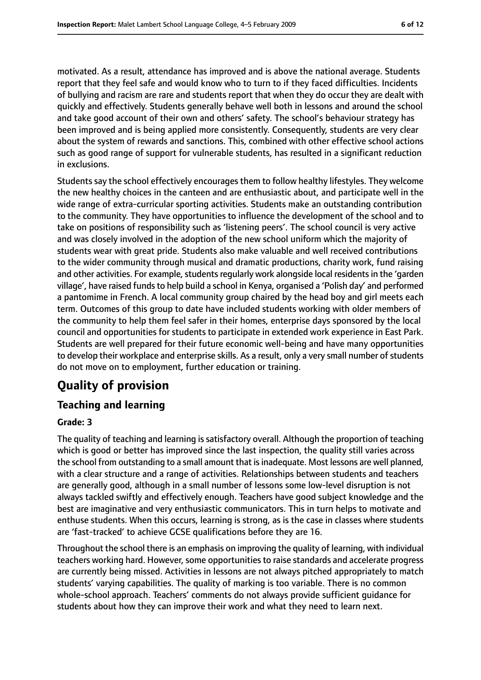motivated. As a result, attendance has improved and is above the national average. Students report that they feel safe and would know who to turn to if they faced difficulties. Incidents of bullying and racism are rare and students report that when they do occur they are dealt with quickly and effectively. Students generally behave well both in lessons and around the school and take good account of their own and others' safety. The school's behaviour strategy has been improved and is being applied more consistently. Consequently, students are very clear about the system of rewards and sanctions. This, combined with other effective school actions such as good range of support for vulnerable students, has resulted in a significant reduction in exclusions.

Students say the school effectively encourages them to follow healthy lifestyles. They welcome the new healthy choices in the canteen and are enthusiastic about, and participate well in the wide range of extra-curricular sporting activities. Students make an outstanding contribution to the community. They have opportunities to influence the development of the school and to take on positions of responsibility such as 'listening peers'. The school council is very active and was closely involved in the adoption of the new school uniform which the majority of students wear with great pride. Students also make valuable and well received contributions to the wider community through musical and dramatic productions, charity work, fund raising and other activities. For example, students regularly work alongside local residents in the 'garden village', have raised funds to help build a school in Kenya, organised a 'Polish day' and performed a pantomime in French. A local community group chaired by the head boy and girl meets each term. Outcomes of this group to date have included students working with older members of the community to help them feel safer in their homes, enterprise days sponsored by the local council and opportunities for students to participate in extended work experience in East Park. Students are well prepared for their future economic well-being and have many opportunities to develop their workplace and enterprise skills. As a result, only a very small number of students do not move on to employment, further education or training.

# **Quality of provision**

# **Teaching and learning**

## **Grade: 3**

The quality of teaching and learning is satisfactory overall. Although the proportion of teaching which is good or better has improved since the last inspection, the quality still varies across the school from outstanding to a small amount that isinadequate. Most lessons are well planned, with a clear structure and a range of activities. Relationships between students and teachers are generally good, although in a small number of lessons some low-level disruption is not always tackled swiftly and effectively enough. Teachers have good subject knowledge and the best are imaginative and very enthusiastic communicators. This in turn helps to motivate and enthuse students. When this occurs, learning is strong, as is the case in classes where students are 'fast-tracked' to achieve GCSE qualifications before they are 16.

Throughout the school there is an emphasis on improving the quality of learning, with individual teachers working hard. However, some opportunities to raise standards and accelerate progress are currently being missed. Activities in lessons are not always pitched appropriately to match students' varying capabilities. The quality of marking is too variable. There is no common whole-school approach. Teachers' comments do not always provide sufficient guidance for students about how they can improve their work and what they need to learn next.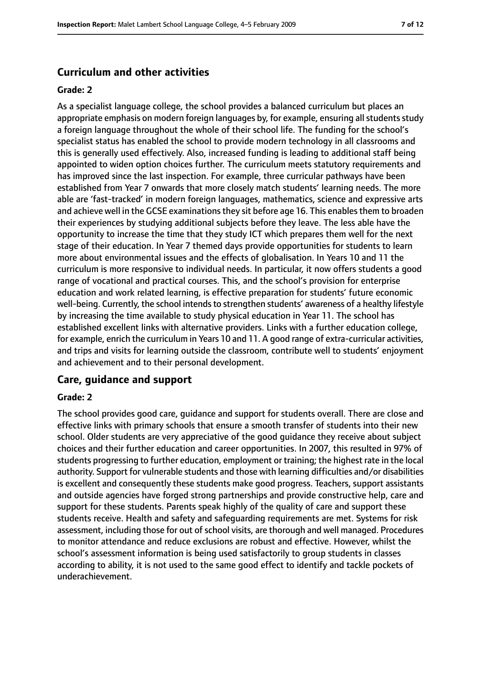## **Curriculum and other activities**

#### **Grade: 2**

As a specialist language college, the school provides a balanced curriculum but places an appropriate emphasis on modern foreign languages by, for example, ensuring all students study a foreign language throughout the whole of their school life. The funding for the school's specialist status has enabled the school to provide modern technology in all classrooms and this is generally used effectively. Also, increased funding is leading to additional staff being appointed to widen option choices further. The curriculum meets statutory requirements and has improved since the last inspection. For example, three curricular pathways have been established from Year 7 onwards that more closely match students' learning needs. The more able are 'fast-tracked' in modern foreign languages, mathematics, science and expressive arts and achieve well in the GCSE examinations they sit before age 16. This enables them to broaden their experiences by studying additional subjects before they leave. The less able have the opportunity to increase the time that they study ICT which prepares them well for the next stage of their education. In Year 7 themed days provide opportunities for students to learn more about environmental issues and the effects of globalisation. In Years 10 and 11 the curriculum is more responsive to individual needs. In particular, it now offers students a good range of vocational and practical courses. This, and the school's provision for enterprise education and work related learning, is effective preparation for students' future economic well-being. Currently, the school intends to strengthen students' awareness of a healthy lifestyle by increasing the time available to study physical education in Year 11. The school has established excellent links with alternative providers. Links with a further education college, for example, enrich the curriculum in Years 10 and 11. A good range of extra-curricular activities, and trips and visits for learning outside the classroom, contribute well to students' enjoyment and achievement and to their personal development.

#### **Care, guidance and support**

#### **Grade: 2**

The school provides good care, guidance and support for students overall. There are close and effective links with primary schools that ensure a smooth transfer of students into their new school. Older students are very appreciative of the good guidance they receive about subject choices and their further education and career opportunities. In 2007, this resulted in 97% of students progressing to further education, employment or training; the highest rate in the local authority. Support for vulnerable students and those with learning difficulties and/or disabilities is excellent and consequently these students make good progress. Teachers, support assistants and outside agencies have forged strong partnerships and provide constructive help, care and support for these students. Parents speak highly of the quality of care and support these students receive. Health and safety and safeguarding requirements are met. Systems for risk assessment, including those for out of school visits, are thorough and well managed. Procedures to monitor attendance and reduce exclusions are robust and effective. However, whilst the school's assessment information is being used satisfactorily to group students in classes according to ability, it is not used to the same good effect to identify and tackle pockets of underachievement.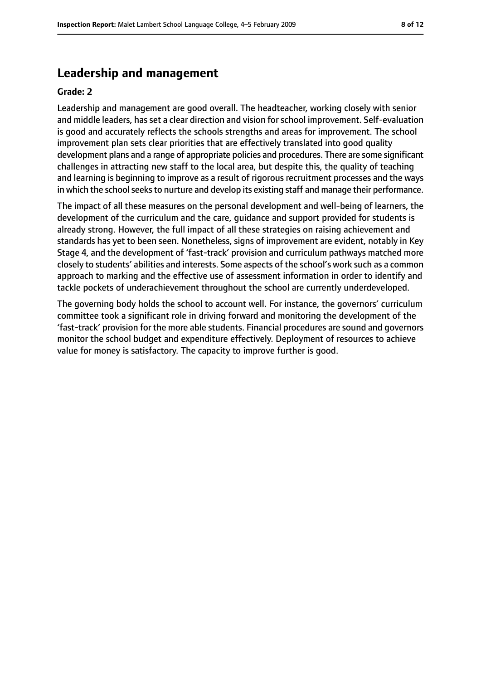## **Leadership and management**

#### **Grade: 2**

Leadership and management are good overall. The headteacher, working closely with senior and middle leaders, has set a clear direction and vision for school improvement. Self-evaluation is good and accurately reflects the schools strengths and areas for improvement. The school improvement plan sets clear priorities that are effectively translated into good quality development plans and a range of appropriate policies and procedures. There are some significant challenges in attracting new staff to the local area, but despite this, the quality of teaching and learning is beginning to improve as a result of rigorous recruitment processes and the ways in which the school seeks to nurture and develop its existing staff and manage their performance.

The impact of all these measures on the personal development and well-being of learners, the development of the curriculum and the care, guidance and support provided for students is already strong. However, the full impact of all these strategies on raising achievement and standards has yet to been seen. Nonetheless, signs of improvement are evident, notably in Key Stage 4, and the development of 'fast-track' provision and curriculum pathways matched more closely to students' abilities and interests. Some aspects of the school's work such as a common approach to marking and the effective use of assessment information in order to identify and tackle pockets of underachievement throughout the school are currently underdeveloped.

The governing body holds the school to account well. For instance, the governors' curriculum committee took a significant role in driving forward and monitoring the development of the 'fast-track' provision for the more able students. Financial procedures are sound and governors monitor the school budget and expenditure effectively. Deployment of resources to achieve value for money is satisfactory. The capacity to improve further is good.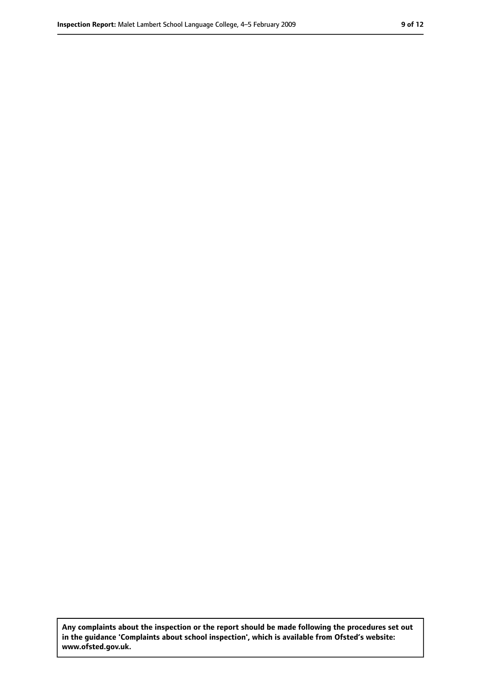**Any complaints about the inspection or the report should be made following the procedures set out in the guidance 'Complaints about school inspection', which is available from Ofsted's website: www.ofsted.gov.uk.**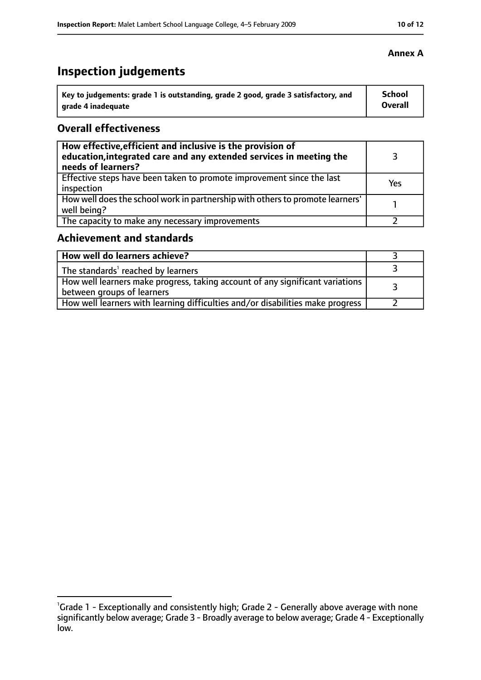# **Inspection judgements**

| Key to judgements: grade 1 is outstanding, grade 2 good, grade 3 satisfactory, and | School  |
|------------------------------------------------------------------------------------|---------|
| arade 4 inadequate                                                                 | Overall |

## **Overall effectiveness**

| How effective, efficient and inclusive is the provision of<br>education, integrated care and any extended services in meeting the<br>needs of learners? |     |
|---------------------------------------------------------------------------------------------------------------------------------------------------------|-----|
| Effective steps have been taken to promote improvement since the last<br>inspection                                                                     | Yes |
| How well does the school work in partnership with others to promote learners'<br>well being?                                                            |     |
| The capacity to make any necessary improvements                                                                                                         |     |

# **Achievement and standards**

| How well do learners achieve?                                                                                 |  |
|---------------------------------------------------------------------------------------------------------------|--|
| The standards' reached by learners                                                                            |  |
| How well learners make progress, taking account of any significant variations  <br>between groups of learners |  |
| How well learners with learning difficulties and/or disabilities make progress                                |  |

## **Annex A**

<sup>&</sup>lt;sup>1</sup>Grade 1 - Exceptionally and consistently high; Grade 2 - Generally above average with none significantly below average; Grade 3 - Broadly average to below average; Grade 4 - Exceptionally low.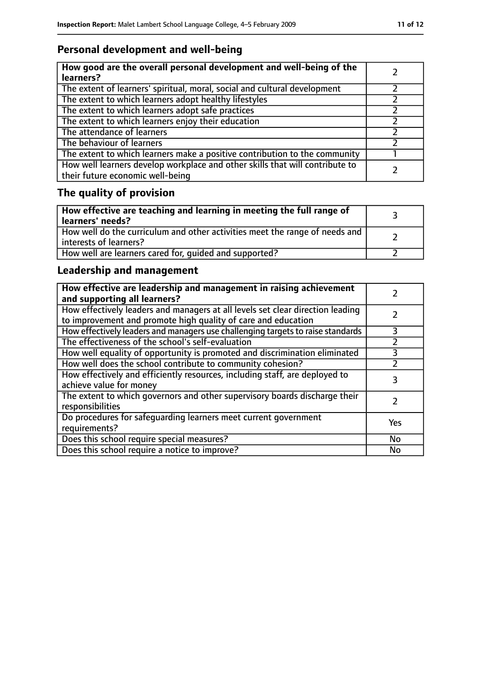# **Personal development and well-being**

| How good are the overall personal development and well-being of the<br>learners?                                 |  |
|------------------------------------------------------------------------------------------------------------------|--|
| The extent of learners' spiritual, moral, social and cultural development                                        |  |
| The extent to which learners adopt healthy lifestyles                                                            |  |
| The extent to which learners adopt safe practices                                                                |  |
| The extent to which learners enjoy their education                                                               |  |
| The attendance of learners                                                                                       |  |
| The behaviour of learners                                                                                        |  |
| The extent to which learners make a positive contribution to the community                                       |  |
| How well learners develop workplace and other skills that will contribute to<br>their future economic well-being |  |

# **The quality of provision**

| How effective are teaching and learning in meeting the full range of<br>learners' needs?              |  |
|-------------------------------------------------------------------------------------------------------|--|
| How well do the curriculum and other activities meet the range of needs and<br>interests of learners? |  |
| How well are learners cared for, quided and supported?                                                |  |

# **Leadership and management**

| How effective are leadership and management in raising achievement<br>and supporting all learners?                                              |     |
|-------------------------------------------------------------------------------------------------------------------------------------------------|-----|
| How effectively leaders and managers at all levels set clear direction leading<br>to improvement and promote high quality of care and education |     |
| How effectively leaders and managers use challenging targets to raise standards                                                                 | 3   |
| The effectiveness of the school's self-evaluation                                                                                               |     |
| How well equality of opportunity is promoted and discrimination eliminated                                                                      |     |
| How well does the school contribute to community cohesion?                                                                                      |     |
| How effectively and efficiently resources, including staff, are deployed to<br>achieve value for money                                          | 3   |
| The extent to which governors and other supervisory boards discharge their<br>responsibilities                                                  |     |
| Do procedures for safequarding learners meet current government<br>requirements?                                                                | Yes |
| Does this school require special measures?                                                                                                      | No  |
| Does this school require a notice to improve?                                                                                                   | No  |